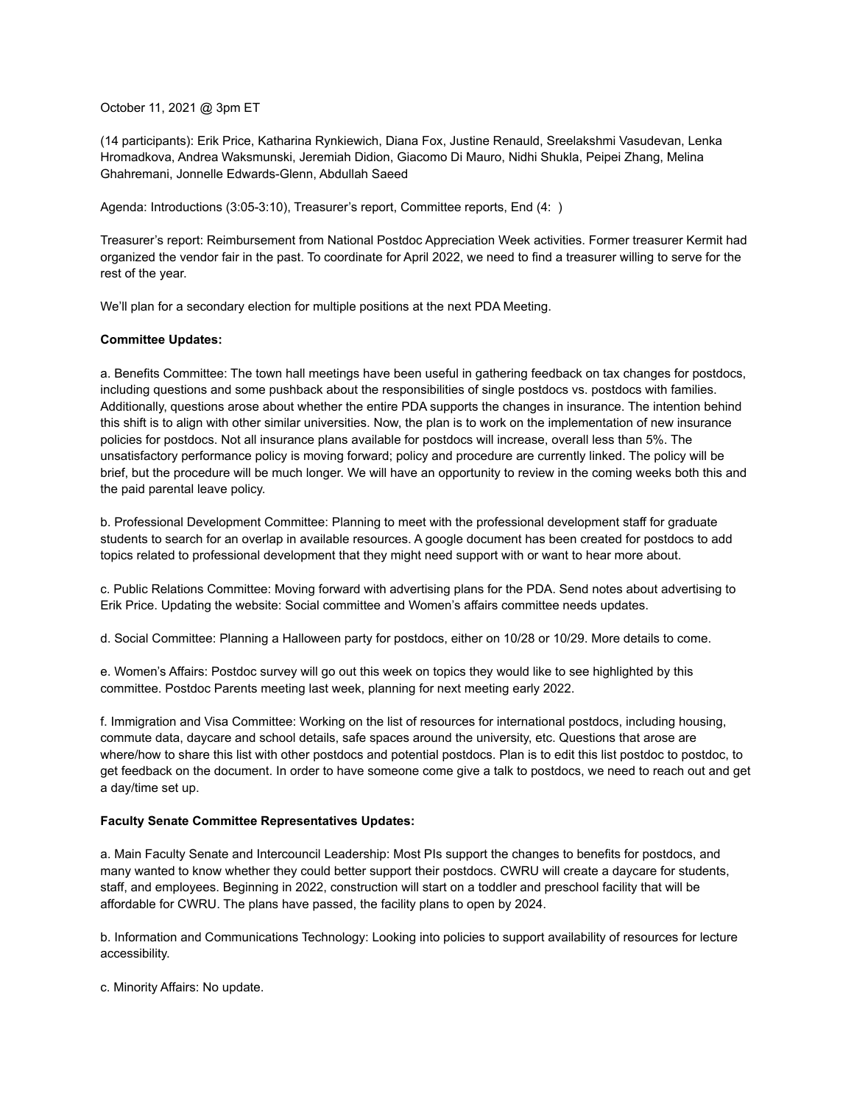October 11, 2021 @ 3pm ET

(14 participants): Erik Price, Katharina Rynkiewich, Diana Fox, Justine Renauld, Sreelakshmi Vasudevan, Lenka Hromadkova, Andrea Waksmunski, Jeremiah Didion, Giacomo Di Mauro, Nidhi Shukla, Peipei Zhang, Melina Ghahremani, Jonnelle Edwards-Glenn, Abdullah Saeed

Agenda: Introductions (3:05-3:10), Treasurer's report, Committee reports, End (4: )

Treasurer's report: Reimbursement from National Postdoc Appreciation Week activities. Former treasurer Kermit had organized the vendor fair in the past. To coordinate for April 2022, we need to find a treasurer willing to serve for the rest of the year.

We'll plan for a secondary election for multiple positions at the next PDA Meeting.

## **Committee Updates:**

a. Benefits Committee: The town hall meetings have been useful in gathering feedback on tax changes for postdocs, including questions and some pushback about the responsibilities of single postdocs vs. postdocs with families. Additionally, questions arose about whether the entire PDA supports the changes in insurance. The intention behind this shift is to align with other similar universities. Now, the plan is to work on the implementation of new insurance policies for postdocs. Not all insurance plans available for postdocs will increase, overall less than 5%. The unsatisfactory performance policy is moving forward; policy and procedure are currently linked. The policy will be brief, but the procedure will be much longer. We will have an opportunity to review in the coming weeks both this and the paid parental leave policy.

b. Professional Development Committee: Planning to meet with the professional development staff for graduate students to search for an overlap in available resources. A google document has been created for postdocs to add topics related to professional development that they might need support with or want to hear more about.

c. Public Relations Committee: Moving forward with advertising plans for the PDA. Send notes about advertising to Erik Price. Updating the website: Social committee and Women's affairs committee needs updates.

d. Social Committee: Planning a Halloween party for postdocs, either on 10/28 or 10/29. More details to come.

e. Women's Affairs: Postdoc survey will go out this week on topics they would like to see highlighted by this committee. Postdoc Parents meeting last week, planning for next meeting early 2022.

f. Immigration and Visa Committee: Working on the list of resources for international postdocs, including housing, commute data, daycare and school details, safe spaces around the university, etc. Questions that arose are where/how to share this list with other postdocs and potential postdocs. Plan is to edit this list postdoc to postdoc, to get feedback on the document. In order to have someone come give a talk to postdocs, we need to reach out and get a day/time set up.

## **Faculty Senate Committee Representatives Updates:**

a. Main Faculty Senate and Intercouncil Leadership: Most PIs support the changes to benefits for postdocs, and many wanted to know whether they could better support their postdocs. CWRU will create a daycare for students, staff, and employees. Beginning in 2022, construction will start on a toddler and preschool facility that will be affordable for CWRU. The plans have passed, the facility plans to open by 2024.

b. Information and Communications Technology: Looking into policies to support availability of resources for lecture accessibility.

c. Minority Affairs: No update.